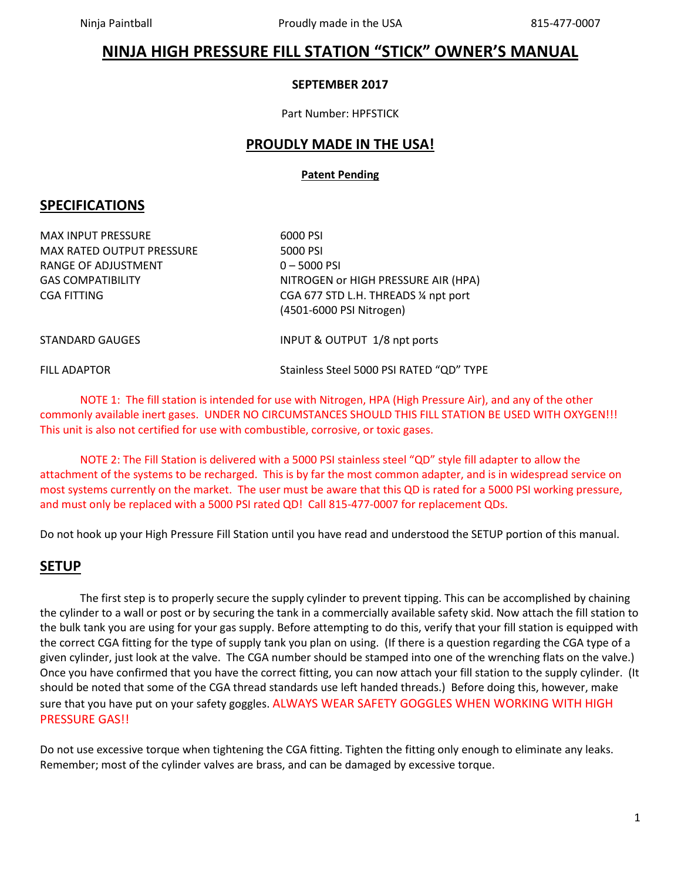# **NINJA HIGH PRESSURE FILL STATION "STICK" OWNER'S MANUAL**

#### **SEPTEMBER 2017**

Part Number: HPFSTICK

### **PROUDLY MADE IN THE USA!**

#### **Patent Pending**

### **SPECIFICATIONS**

MAX INPUT PRESSURE 6000 PSI MAX RATED OUTPUT PRESSURE 5000 PSI RANGE OF ADJUSTMENT 0-5000 PSI

GAS COMPATIBILITY NITROGEN OF HIGH PRESSURE AIR (HPA) CGA FITTING CGA 677 STD L.H. THREADS ¼ npt port (4501-6000 PSI Nitrogen)

STANDARD GAUGES **INPUT & OUTPUT 1/8 npt ports** 

FILL ADAPTOR Stainless Steel 5000 PSI RATED "QD" TYPE

NOTE 1: The fill station is intended for use with Nitrogen, HPA (High Pressure Air), and any of the other commonly available inert gases. UNDER NO CIRCUMSTANCES SHOULD THIS FILL STATION BE USED WITH OXYGEN!!! This unit is also not certified for use with combustible, corrosive, or toxic gases.

NOTE 2: The Fill Station is delivered with a 5000 PSI stainless steel "QD" style fill adapter to allow the attachment of the systems to be recharged. This is by far the most common adapter, and is in widespread service on most systems currently on the market. The user must be aware that this QD is rated for a 5000 PSI working pressure, and must only be replaced with a 5000 PSI rated QD! Call 815-477-0007 for replacement QDs.

Do not hook up your High Pressure Fill Station until you have read and understood the SETUP portion of this manual.

### **SETUP**

The first step is to properly secure the supply cylinder to prevent tipping. This can be accomplished by chaining the cylinder to a wall or post or by securing the tank in a commercially available safety skid. Now attach the fill station to the bulk tank you are using for your gas supply. Before attempting to do this, verify that your fill station is equipped with the correct CGA fitting for the type of supply tank you plan on using. (If there is a question regarding the CGA type of a given cylinder, just look at the valve. The CGA number should be stamped into one of the wrenching flats on the valve.) Once you have confirmed that you have the correct fitting, you can now attach your fill station to the supply cylinder. (It should be noted that some of the CGA thread standards use left handed threads.) Before doing this, however, make sure that you have put on your safety goggles. ALWAYS WEAR SAFETY GOGGLES WHEN WORKING WITH HIGH PRESSURE GAS!!

Do not use excessive torque when tightening the CGA fitting. Tighten the fitting only enough to eliminate any leaks. Remember; most of the cylinder valves are brass, and can be damaged by excessive torque.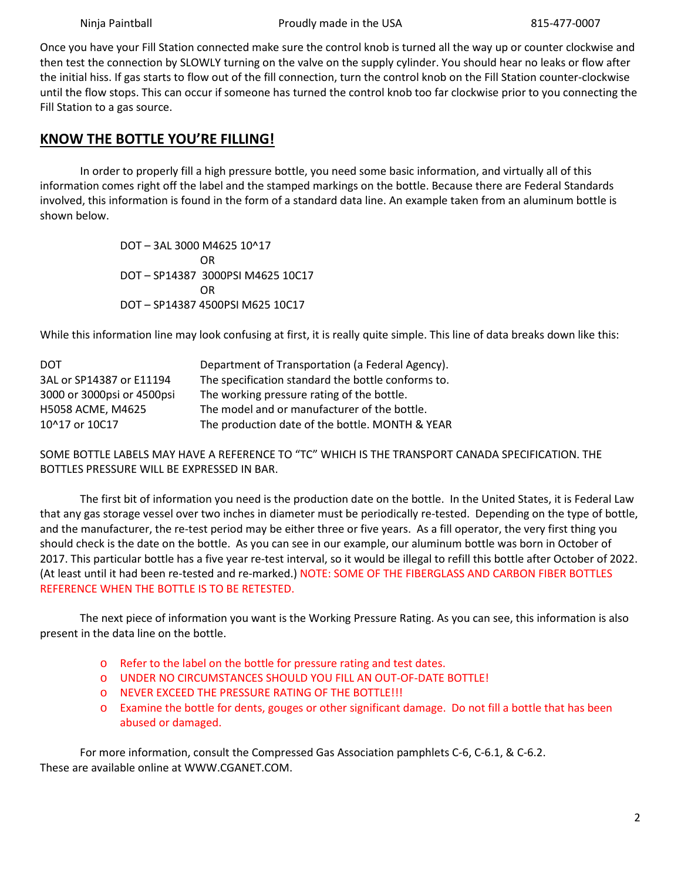Once you have your Fill Station connected make sure the control knob is turned all the way up or counter clockwise and then test the connection by SLOWLY turning on the valve on the supply cylinder. You should hear no leaks or flow after the initial hiss. If gas starts to flow out of the fill connection, turn the control knob on the Fill Station counter-clockwise until the flow stops. This can occur if someone has turned the control knob too far clockwise prior to you connecting the Fill Station to a gas source.

## **KNOW THE BOTTLE YOU'RE FILLING!**

In order to properly fill a high pressure bottle, you need some basic information, and virtually all of this information comes right off the label and the stamped markings on the bottle. Because there are Federal Standards involved, this information is found in the form of a standard data line. An example taken from an aluminum bottle is shown below.

> DOT – 3AL 3000 M4625 10^17 OR DOT – SP14387 3000PSI M4625 10C17 OR DOT – SP14387 4500PSI M625 10C17

While this information line may look confusing at first, it is really quite simple. This line of data breaks down like this:

| DOT                        | Department of Transportation (a Federal Agency).   |
|----------------------------|----------------------------------------------------|
| 3AL or SP14387 or E11194   | The specification standard the bottle conforms to. |
| 3000 or 3000psi or 4500psi | The working pressure rating of the bottle.         |
| H5058 ACME, M4625          | The model and or manufacturer of the bottle.       |
| 10^17 or 10C17             | The production date of the bottle. MONTH & YEAR    |

SOME BOTTLE LABELS MAY HAVE A REFERENCE TO "TC" WHICH IS THE TRANSPORT CANADA SPECIFICATION. THE BOTTLES PRESSURE WILL BE EXPRESSED IN BAR.

The first bit of information you need is the production date on the bottle. In the United States, it is Federal Law that any gas storage vessel over two inches in diameter must be periodically re-tested. Depending on the type of bottle, and the manufacturer, the re-test period may be either three or five years. As a fill operator, the very first thing you should check is the date on the bottle. As you can see in our example, our aluminum bottle was born in October of 2017. This particular bottle has a five year re-test interval, so it would be illegal to refill this bottle after October of 2022. (At least until it had been re-tested and re-marked.) NOTE: SOME OF THE FIBERGLASS AND CARBON FIBER BOTTLES REFERENCE WHEN THE BOTTLE IS TO BE RETESTED.

The next piece of information you want is the Working Pressure Rating. As you can see, this information is also present in the data line on the bottle.

- o Refer to the label on the bottle for pressure rating and test dates.
- o UNDER NO CIRCUMSTANCES SHOULD YOU FILL AN OUT-OF-DATE BOTTLE!
- o NEVER EXCEED THE PRESSURE RATING OF THE BOTTLE!!!
- o Examine the bottle for dents, gouges or other significant damage. Do not fill a bottle that has been abused or damaged.

For more information, consult the Compressed Gas Association pamphlets C-6, C-6.1, & C-6.2. These are available online at WWW.CGANET.COM.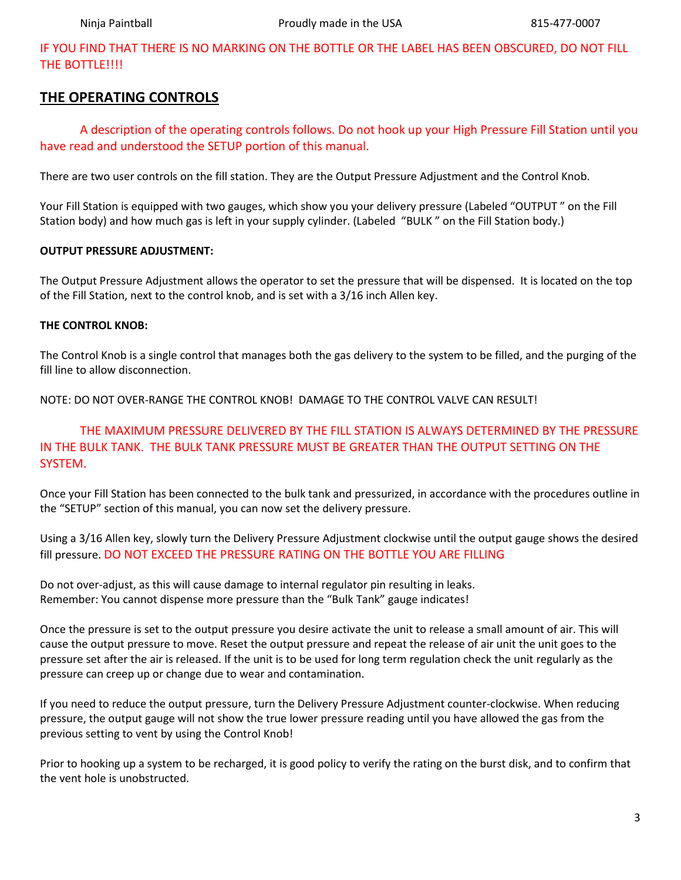IF YOU FIND THAT THERE IS NO MARKING ON THE BOTTLE OR THE LABEL HAS BEEN OBSCURED, DO NOT FILL THE BOTTLE!!!!

### **THE OPERATING CONTROLS**

A description of the operating controls follows. Do not hook up your High Pressure Fill Station until you have read and understood the SETUP portion of this manual.

There are two user controls on the fill station. They are the Output Pressure Adjustment and the Control Knob.

Your Fill Station is equipped with two gauges, which show you your delivery pressure (Labeled "OUTPUT " on the Fill Station body) and how much gas is left in your supply cylinder. (Labeled "BULK " on the Fill Station body.)

#### **OUTPUT PRESSURE ADJUSTMENT:**

The Output Pressure Adjustment allows the operator to set the pressure that will be dispensed. It is located on the top of the Fill Station, next to the control knob, and is set with a 3/16 inch Allen key.

#### **THE CONTROL KNOB:**

The Control Knob is a single control that manages both the gas delivery to the system to be filled, and the purging of the fill line to allow disconnection.

NOTE: DO NOT OVER-RANGE THE CONTROL KNOB! DAMAGE TO THE CONTROL VALVE CAN RESULT!

### THE MAXIMUM PRESSURE DELIVERED BY THE FILL STATION IS ALWAYS DETERMINED BY THE PRESSURE IN THE BULK TANK. THE BULK TANK PRESSURE MUST BE GREATER THAN THE OUTPUT SETTING ON THE SYSTEM.

Once your Fill Station has been connected to the bulk tank and pressurized, in accordance with the procedures outline in the "SETUP" section of this manual, you can now set the delivery pressure.

Using a 3/16 Allen key, slowly turn the Delivery Pressure Adjustment clockwise until the output gauge shows the desired fill pressure. DO NOT EXCEED THE PRESSURE RATING ON THE BOTTLE YOU ARE FILLING

Do not over-adjust, as this will cause damage to internal regulator pin resulting in leaks. Remember: You cannot dispense more pressure than the "Bulk Tank" gauge indicates!

Once the pressure is set to the output pressure you desire activate the unit to release a small amount of air. This will cause the output pressure to move. Reset the output pressure and repeat the release of air unit the unit goes to the pressure set after the air is released. If the unit is to be used for long term regulation check the unit regularly as the pressure can creep up or change due to wear and contamination.

If you need to reduce the output pressure, turn the Delivery Pressure Adjustment counter-clockwise. When reducing pressure, the output gauge will not show the true lower pressure reading until you have allowed the gas from the previous setting to vent by using the Control Knob!

Prior to hooking up a system to be recharged, it is good policy to verify the rating on the burst disk, and to confirm that the vent hole is unobstructed.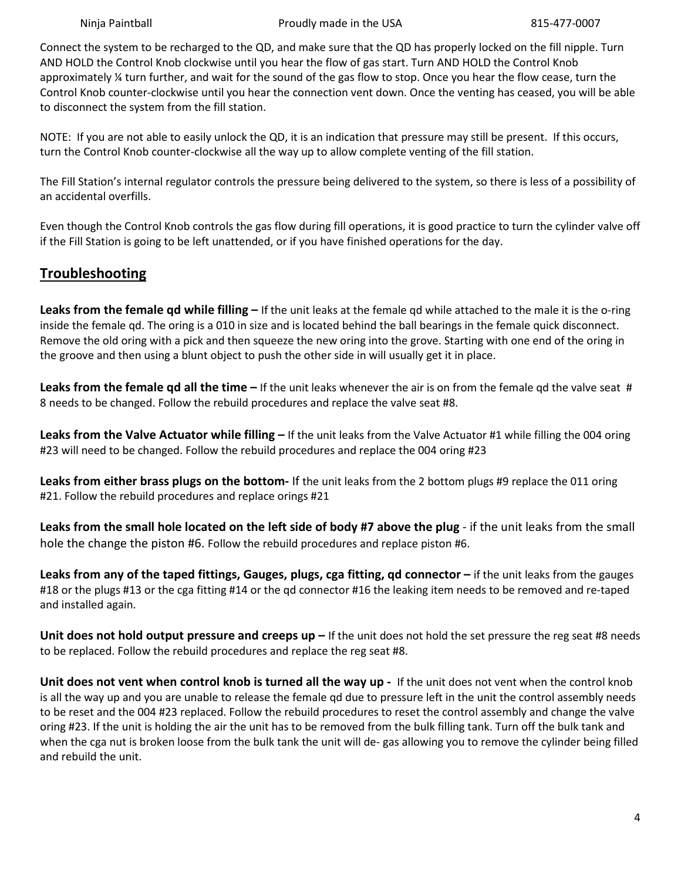Ninja Paintball **Proudly made in the USA** 815-477-0007

Connect the system to be recharged to the QD, and make sure that the QD has properly locked on the fill nipple. Turn AND HOLD the Control Knob clockwise until you hear the flow of gas start. Turn AND HOLD the Control Knob approximately  $\frac{1}{4}$  turn further, and wait for the sound of the gas flow to stop. Once you hear the flow cease, turn the Control Knob counter-clockwise until you hear the connection vent down. Once the venting has ceased, you will be able to disconnect the system from the fill station.

NOTE: If you are not able to easily unlock the QD, it is an indication that pressure may still be present. If this occurs, turn the Control Knob counter-clockwise all the way up to allow complete venting of the fill station.

The Fill Station's internal regulator controls the pressure being delivered to the system, so there is less of a possibility of an accidental overfills.

Even though the Control Knob controls the gas flow during fill operations, it is good practice to turn the cylinder valve off if the Fill Station is going to be left unattended, or if you have finished operations for the day.

# **Troubleshooting**

**Leaks from the female qd while filling –** If the unit leaks at the female qd while attached to the male it is the o-ring inside the female qd. The oring is a 010 in size and is located behind the ball bearings in the female quick disconnect. Remove the old oring with a pick and then squeeze the new oring into the grove. Starting with one end of the oring in the groove and then using a blunt object to push the other side in will usually get it in place.

**Leaks from the female qd all the time –** If the unit leaks whenever the air is on from the female qd the valve seat # 8 needs to be changed. Follow the rebuild procedures and replace the valve seat #8.

**Leaks from the Valve Actuator while filling –** If the unit leaks from the Valve Actuator #1 while filling the 004 oring #23 will need to be changed. Follow the rebuild procedures and replace the 004 oring #23

**Leaks from either brass plugs on the bottom-** If the unit leaks from the 2 bottom plugs #9 replace the 011 oring #21. Follow the rebuild procedures and replace orings #21

**Leaks from the small hole located on the left side of body #7 above the plug** - if the unit leaks from the small hole the change the piston #6. Follow the rebuild procedures and replace piston #6.

**Leaks from any of the taped fittings, Gauges, plugs, cga fitting, qd connector –** if the unit leaks from the gauges #18 or the plugs #13 or the cga fitting #14 or the qd connector #16 the leaking item needs to be removed and re-taped and installed again.

**Unit does not hold output pressure and creeps up –** If the unit does not hold the set pressure the reg seat #8 needs to be replaced. Follow the rebuild procedures and replace the reg seat #8.

**Unit does not vent when control knob is turned all the way up -** If the unit does not vent when the control knob is all the way up and you are unable to release the female qd due to pressure left in the unit the control assembly needs to be reset and the 004 #23 replaced. Follow the rebuild procedures to reset the control assembly and change the valve oring #23. If the unit is holding the air the unit has to be removed from the bulk filling tank. Turn off the bulk tank and when the cga nut is broken loose from the bulk tank the unit will de- gas allowing you to remove the cylinder being filled and rebuild the unit.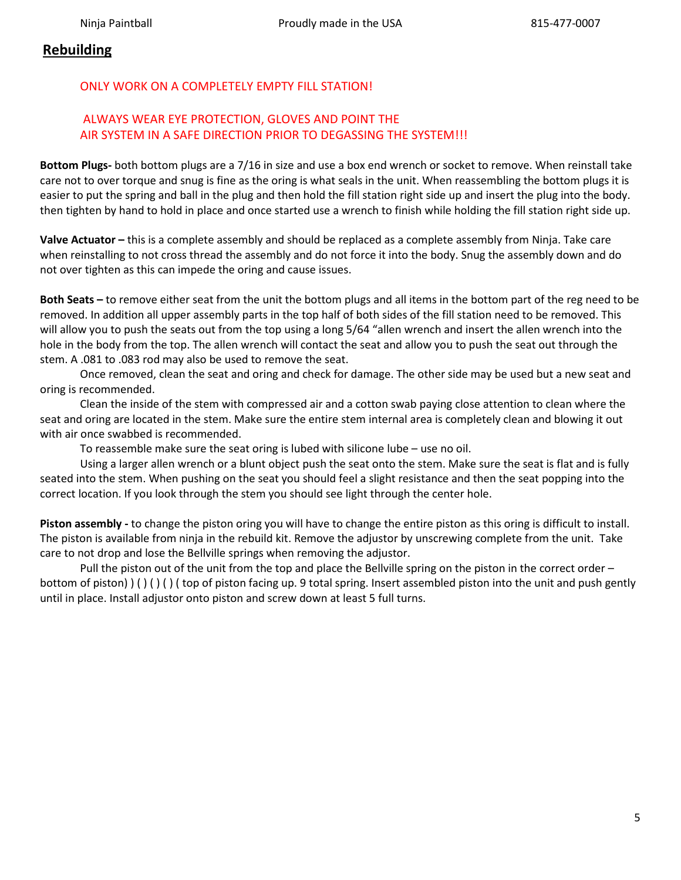## **Rebuilding**

### ONLY WORK ON A COMPLETELY EMPTY FILL STATION!

### ALWAYS WEAR EYE PROTECTION, GLOVES AND POINT THE AIR SYSTEM IN A SAFE DIRECTION PRIOR TO DEGASSING THE SYSTEM!!!

**Bottom Plugs-** both bottom plugs are a 7/16 in size and use a box end wrench or socket to remove. When reinstall take care not to over torque and snug is fine as the oring is what seals in the unit. When reassembling the bottom plugs it is easier to put the spring and ball in the plug and then hold the fill station right side up and insert the plug into the body. then tighten by hand to hold in place and once started use a wrench to finish while holding the fill station right side up.

**Valve Actuator –** this is a complete assembly and should be replaced as a complete assembly from Ninja. Take care when reinstalling to not cross thread the assembly and do not force it into the body. Snug the assembly down and do not over tighten as this can impede the oring and cause issues.

**Both Seats –** to remove either seat from the unit the bottom plugs and all items in the bottom part of the reg need to be removed. In addition all upper assembly parts in the top half of both sides of the fill station need to be removed. This will allow you to push the seats out from the top using a long 5/64 "allen wrench and insert the allen wrench into the hole in the body from the top. The allen wrench will contact the seat and allow you to push the seat out through the stem. A .081 to .083 rod may also be used to remove the seat.

Once removed, clean the seat and oring and check for damage. The other side may be used but a new seat and oring is recommended.

Clean the inside of the stem with compressed air and a cotton swab paying close attention to clean where the seat and oring are located in the stem. Make sure the entire stem internal area is completely clean and blowing it out with air once swabbed is recommended.

To reassemble make sure the seat oring is lubed with silicone lube – use no oil.

Using a larger allen wrench or a blunt object push the seat onto the stem. Make sure the seat is flat and is fully seated into the stem. When pushing on the seat you should feel a slight resistance and then the seat popping into the correct location. If you look through the stem you should see light through the center hole.

**Piston assembly -** to change the piston oring you will have to change the entire piston as this oring is difficult to install. The piston is available from ninja in the rebuild kit. Remove the adjustor by unscrewing complete from the unit. Take care to not drop and lose the Bellville springs when removing the adjustor.

Pull the piston out of the unit from the top and place the Bellville spring on the piston in the correct order – bottom of piston) ) ( ) ( ) ( ) ( top of piston facing up. 9 total spring. Insert assembled piston into the unit and push gently until in place. Install adjustor onto piston and screw down at least 5 full turns.